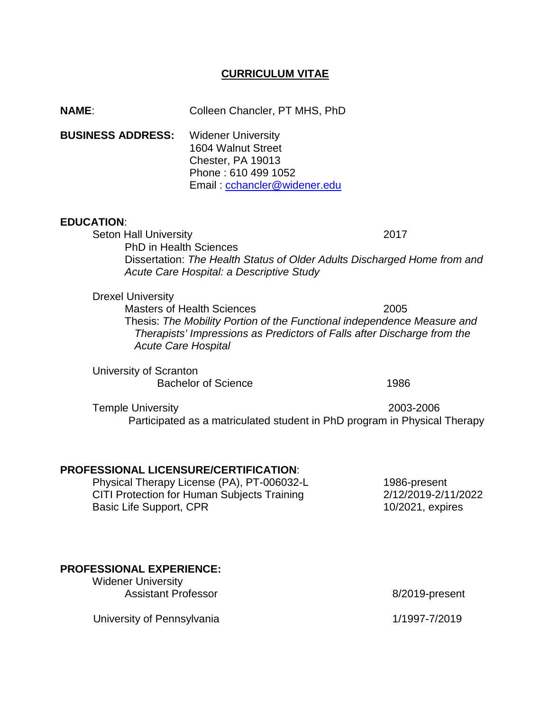# **CURRICULUM VITAE**

| <b>NAME:</b>                                                                       | Colleen Chancler, PT MHS, PhD                                                                                                                                                                                         |                                             |
|------------------------------------------------------------------------------------|-----------------------------------------------------------------------------------------------------------------------------------------------------------------------------------------------------------------------|---------------------------------------------|
| <b>BUSINESS ADDRESS:</b>                                                           | <b>Widener University</b><br>1604 Walnut Street<br>Chester, PA 19013<br>Phone: 610 499 1052<br>Email: cchancler@widener.edu                                                                                           |                                             |
| <b>EDUCATION:</b><br><b>Seton Hall University</b><br><b>PhD in Health Sciences</b> | Dissertation: The Health Status of Older Adults Discharged Home from and<br>Acute Care Hospital: a Descriptive Study                                                                                                  | 2017                                        |
| <b>Drexel University</b>                                                           | <b>Masters of Health Sciences</b><br>Thesis: The Mobility Portion of the Functional independence Measure and<br>Therapists' Impressions as Predictors of Falls after Discharge from the<br><b>Acute Care Hospital</b> | 2005                                        |
| University of Scranton                                                             | <b>Bachelor of Science</b>                                                                                                                                                                                            | 1986                                        |
| <b>Temple University</b>                                                           | Participated as a matriculated student in PhD program in Physical Therapy                                                                                                                                             | 2003-2006                                   |
| <b>PROFESSIONAL LICENSURE/CERTIFICATION:</b>                                       | Physical Therapy License (PA), PT-006032-L<br>$\bigcap$ ITI Desta ation for Universe Outstands Training                                                                                                               | 1986-present<br><u>alialania ali ilanga</u> |

CITI Protection for Human Subjects Training 2/12/2019-2/11/2022<br>Basic Life Support, CPR 10/2021, expires Basic Life Support, CPR

# **PROFESSIONAL EXPERIENCE:**

Widener University Assistant Professor **8/2019-present** 

**University of Pennsylvania** 1/1997-7/2019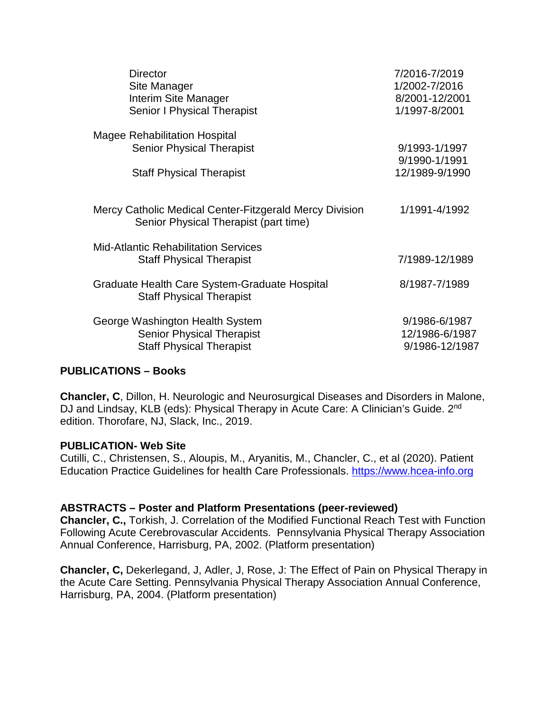| <b>Director</b>                                                                                  | 7/2016-7/2019  |
|--------------------------------------------------------------------------------------------------|----------------|
| Site Manager                                                                                     | 1/2002-7/2016  |
| Interim Site Manager                                                                             | 8/2001-12/2001 |
| <b>Senior I Physical Therapist</b>                                                               | 1/1997-8/2001  |
| <b>Magee Rehabilitation Hospital</b>                                                             | 9/1993-1/1997  |
| <b>Senior Physical Therapist</b>                                                                 | 9/1990-1/1991  |
| <b>Staff Physical Therapist</b>                                                                  | 12/1989-9/1990 |
| Mercy Catholic Medical Center-Fitzgerald Mercy Division<br>Senior Physical Therapist (part time) | 1/1991-4/1992  |
| <b>Mid-Atlantic Rehabilitation Services</b><br><b>Staff Physical Therapist</b>                   | 7/1989-12/1989 |
| Graduate Health Care System-Graduate Hospital<br><b>Staff Physical Therapist</b>                 | 8/1987-7/1989  |
| George Washington Health System                                                                  | 9/1986-6/1987  |
| <b>Senior Physical Therapist</b>                                                                 | 12/1986-6/1987 |
| <b>Staff Physical Therapist</b>                                                                  | 9/1986-12/1987 |

### **PUBLICATIONS – Books**

**Chancler, C**, Dillon, H. Neurologic and Neurosurgical Diseases and Disorders in Malone, DJ and Lindsay, KLB (eds): Physical Therapy in Acute Care: A Clinician's Guide. 2<sup>nd</sup> edition. Thorofare, NJ, Slack, Inc., 2019.

#### **PUBLICATION- Web Site**

Cutilli, C., Christensen, S., Aloupis, M., Aryanitis, M., Chancler, C., et al (2020). Patient Education Practice Guidelines for health Care Professionals. [https://www.hcea-info.org](https://www.hcea-info.org/)

#### **ABSTRACTS – Poster and Platform Presentations (peer-reviewed)**

**Chancler, C.,** Torkish, J. Correlation of the Modified Functional Reach Test with Function Following Acute Cerebrovascular Accidents. Pennsylvania Physical Therapy Association Annual Conference, Harrisburg, PA, 2002. (Platform presentation)

**Chancler, C,** Dekerlegand, J, Adler, J, Rose, J: The Effect of Pain on Physical Therapy in the Acute Care Setting. Pennsylvania Physical Therapy Association Annual Conference, Harrisburg, PA, 2004. (Platform presentation)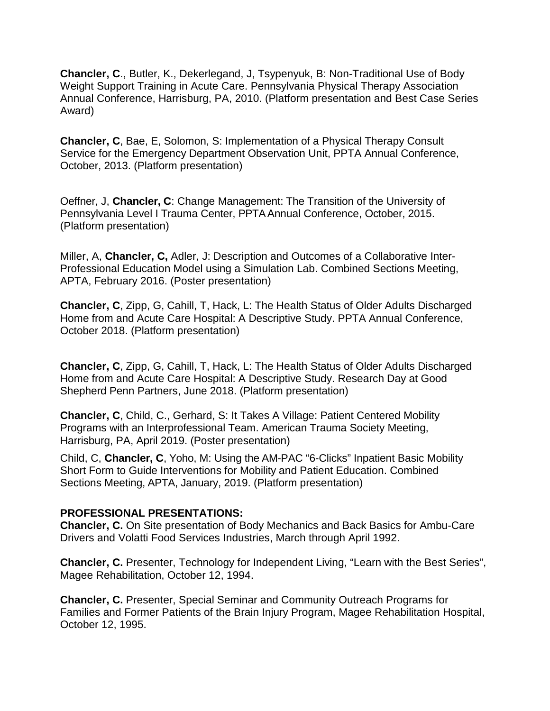**Chancler, C**., Butler, K., Dekerlegand, J, Tsypenyuk, B: Non-Traditional Use of Body Weight Support Training in Acute Care. Pennsylvania Physical Therapy Association Annual Conference, Harrisburg, PA, 2010. (Platform presentation and Best Case Series Award)

**Chancler, C**, Bae, E, Solomon, S: Implementation of a Physical Therapy Consult Service for the Emergency Department Observation Unit, PPTA Annual Conference, October, 2013. (Platform presentation)

Oeffner, J, **Chancler, C**: Change Management: The Transition of the University of Pennsylvania Level I Trauma Center, PPTAAnnual Conference, October, 2015. (Platform presentation)

Miller, A, **Chancler, C,** Adler, J: Description and Outcomes of a Collaborative Inter-Professional Education Model using a Simulation Lab. Combined Sections Meeting, APTA, February 2016. (Poster presentation)

**Chancler, C**, Zipp, G, Cahill, T, Hack, L: The Health Status of Older Adults Discharged Home from and Acute Care Hospital: A Descriptive Study. PPTA Annual Conference, October 2018. (Platform presentation)

**Chancler, C**, Zipp, G, Cahill, T, Hack, L: The Health Status of Older Adults Discharged Home from and Acute Care Hospital: A Descriptive Study. Research Day at Good Shepherd Penn Partners, June 2018. (Platform presentation)

**Chancler, C**, Child, C., Gerhard, S: It Takes A Village: Patient Centered Mobility Programs with an Interprofessional Team. American Trauma Society Meeting, Harrisburg, PA, April 2019. (Poster presentation)

Child, C, **Chancler, C**, Yoho, M: Using the AM-PAC "6-Clicks" Inpatient Basic Mobility Short Form to Guide Interventions for Mobility and Patient Education. Combined Sections Meeting, APTA, January, 2019. (Platform presentation)

### **PROFESSIONAL PRESENTATIONS:**

**Chancler, C.** On Site presentation of Body Mechanics and Back Basics for Ambu-Care Drivers and Volatti Food Services Industries, March through April 1992.

**Chancler, C.** Presenter, Technology for Independent Living, "Learn with the Best Series", Magee Rehabilitation, October 12, 1994.

**Chancler, C.** Presenter, Special Seminar and Community Outreach Programs for Families and Former Patients of the Brain Injury Program, Magee Rehabilitation Hospital, October 12, 1995.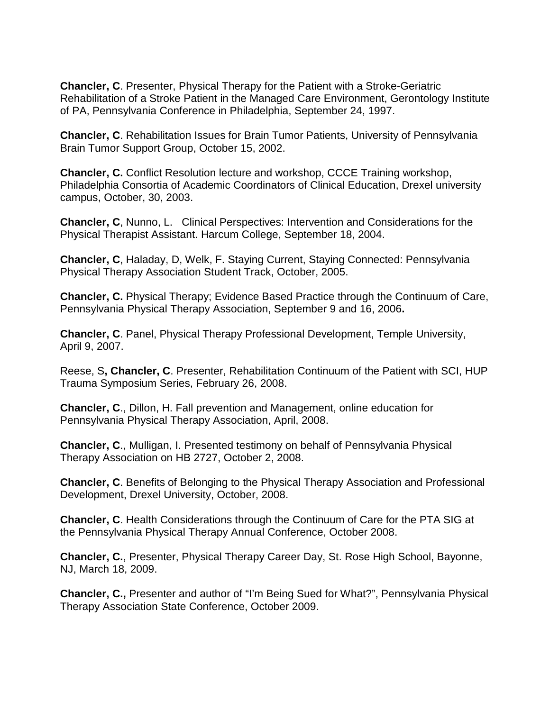**Chancler, C**. Presenter, Physical Therapy for the Patient with a Stroke-Geriatric Rehabilitation of a Stroke Patient in the Managed Care Environment, Gerontology Institute of PA, Pennsylvania Conference in Philadelphia, September 24, 1997.

**Chancler, C**. Rehabilitation Issues for Brain Tumor Patients, University of Pennsylvania Brain Tumor Support Group, October 15, 2002.

**Chancler, C.** Conflict Resolution lecture and workshop, CCCE Training workshop, Philadelphia Consortia of Academic Coordinators of Clinical Education, Drexel university campus, October, 30, 2003.

**Chancler, C**, Nunno, L. Clinical Perspectives: Intervention and Considerations for the Physical Therapist Assistant. Harcum College, September 18, 2004.

**Chancler, C**, Haladay, D, Welk, F. Staying Current, Staying Connected: Pennsylvania Physical Therapy Association Student Track, October, 2005.

**Chancler, C.** Physical Therapy; Evidence Based Practice through the Continuum of Care, Pennsylvania Physical Therapy Association, September 9 and 16, 2006**.**

**Chancler, C**. Panel, Physical Therapy Professional Development, Temple University, April 9, 2007.

Reese, S**, Chancler, C**. Presenter, Rehabilitation Continuum of the Patient with SCI, HUP Trauma Symposium Series, February 26, 2008.

**Chancler, C**., Dillon, H. Fall prevention and Management, online education for Pennsylvania Physical Therapy Association, April, 2008.

**Chancler, C**., Mulligan, I. Presented testimony on behalf of Pennsylvania Physical Therapy Association on HB 2727, October 2, 2008.

**Chancler, C**. Benefits of Belonging to the Physical Therapy Association and Professional Development, Drexel University, October, 2008.

**Chancler, C**. Health Considerations through the Continuum of Care for the PTA SIG at the Pennsylvania Physical Therapy Annual Conference, October 2008.

**Chancler, C.**, Presenter, Physical Therapy Career Day, St. Rose High School, Bayonne, NJ, March 18, 2009.

**Chancler, C.,** Presenter and author of "I'm Being Sued for What?", Pennsylvania Physical Therapy Association State Conference, October 2009.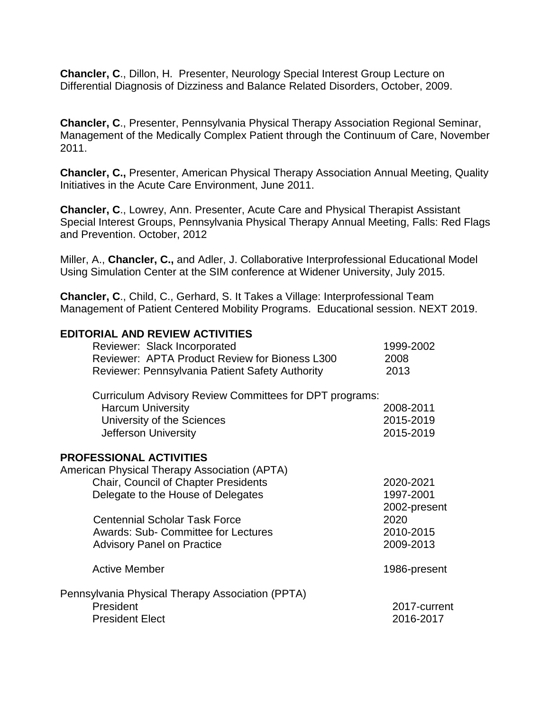**Chancler, C**., Dillon, H. Presenter, Neurology Special Interest Group Lecture on Differential Diagnosis of Dizziness and Balance Related Disorders, October, 2009.

**Chancler, C**., Presenter, Pennsylvania Physical Therapy Association Regional Seminar, Management of the Medically Complex Patient through the Continuum of Care, November 2011.

**Chancler, C.,** Presenter, American Physical Therapy Association Annual Meeting, Quality Initiatives in the Acute Care Environment, June 2011.

**Chancler, C**., Lowrey, Ann. Presenter, Acute Care and Physical Therapist Assistant Special Interest Groups, Pennsylvania Physical Therapy Annual Meeting, Falls: Red Flags and Prevention. October, 2012

Miller, A., **Chancler, C.,** and Adler, J. Collaborative Interprofessional Educational Model Using Simulation Center at the SIM conference at Widener University, July 2015.

**Chancler, C**., Child, C., Gerhard, S. It Takes a Village: Interprofessional Team Management of Patient Centered Mobility Programs. Educational session. NEXT 2019.

#### **EDITORIAL AND REVIEW ACTIVITIES**

| Reviewer: Slack Incorporated<br>Reviewer: APTA Product Review for Bioness L300 | 1999-2002<br>2008 |
|--------------------------------------------------------------------------------|-------------------|
| <b>Reviewer: Pennsylvania Patient Safety Authority</b>                         | 2013              |
| Curriculum Advisory Review Committees for DPT programs:                        |                   |
| <b>Harcum University</b>                                                       | 2008-2011         |
| University of the Sciences                                                     | 2015-2019         |
| Jefferson University                                                           | 2015-2019         |
| <b>PROFESSIONAL ACTIVITIES</b>                                                 |                   |
| American Physical Therapy Association (APTA)                                   |                   |
| <b>Chair, Council of Chapter Presidents</b>                                    | 2020-2021         |
| Delegate to the House of Delegates                                             | 1997-2001         |
|                                                                                | 2002-present      |
| <b>Centennial Scholar Task Force</b>                                           | 2020              |
| <b>Awards: Sub- Committee for Lectures</b>                                     | 2010-2015         |
| <b>Advisory Panel on Practice</b>                                              | 2009-2013         |
| <b>Active Member</b>                                                           | 1986-present      |
| Pennsylvania Physical Therapy Association (PPTA)                               |                   |
| President                                                                      | 2017-current      |
| <b>President Elect</b>                                                         | 2016-2017         |
|                                                                                |                   |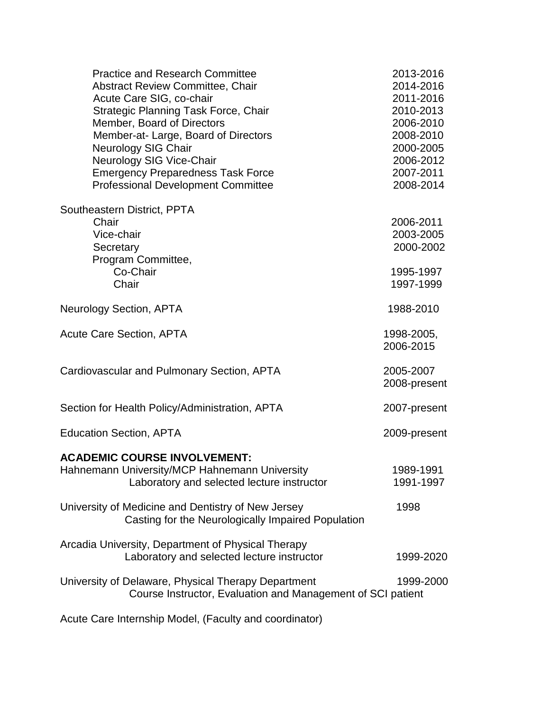| <b>Practice and Research Committee</b><br>Abstract Review Committee, Chair<br>Acute Care SIG, co-chair<br>Strategic Planning Task Force, Chair<br>Member, Board of Directors<br>Member-at-Large, Board of Directors<br><b>Neurology SIG Chair</b><br>Neurology SIG Vice-Chair<br><b>Emergency Preparedness Task Force</b><br><b>Professional Development Committee</b> | 2013-2016<br>2014-2016<br>2011-2016<br>2010-2013<br>2006-2010<br>2008-2010<br>2000-2005<br>2006-2012<br>2007-2011<br>2008-2014 |
|------------------------------------------------------------------------------------------------------------------------------------------------------------------------------------------------------------------------------------------------------------------------------------------------------------------------------------------------------------------------|--------------------------------------------------------------------------------------------------------------------------------|
| Southeastern District, PPTA<br>Chair<br>Vice-chair<br>Secretary<br>Program Committee,<br>Co-Chair<br>Chair                                                                                                                                                                                                                                                             | 2006-2011<br>2003-2005<br>2000-2002<br>1995-1997<br>1997-1999                                                                  |
| <b>Neurology Section, APTA</b>                                                                                                                                                                                                                                                                                                                                         | 1988-2010                                                                                                                      |
| <b>Acute Care Section, APTA</b>                                                                                                                                                                                                                                                                                                                                        | 1998-2005,<br>2006-2015                                                                                                        |
| Cardiovascular and Pulmonary Section, APTA                                                                                                                                                                                                                                                                                                                             | 2005-2007<br>2008-present                                                                                                      |
| Section for Health Policy/Administration, APTA                                                                                                                                                                                                                                                                                                                         | 2007-present                                                                                                                   |
| <b>Education Section, APTA</b>                                                                                                                                                                                                                                                                                                                                         | 2009-present                                                                                                                   |
| <b>ACADEMIC COURSE INVOLVEMENT:</b><br>Hahnemann University/MCP Hahnemann University<br>Laboratory and selected lecture instructor                                                                                                                                                                                                                                     | 1989-1991<br>1991-1997                                                                                                         |
| University of Medicine and Dentistry of New Jersey<br>Casting for the Neurologically Impaired Population                                                                                                                                                                                                                                                               | 1998                                                                                                                           |
| Arcadia University, Department of Physical Therapy<br>Laboratory and selected lecture instructor                                                                                                                                                                                                                                                                       | 1999-2020                                                                                                                      |
| University of Delaware, Physical Therapy Department<br>Course Instructor, Evaluation and Management of SCI patient                                                                                                                                                                                                                                                     | 1999-2000                                                                                                                      |
| Acute Care Internship Model, (Faculty and coordinator)                                                                                                                                                                                                                                                                                                                 |                                                                                                                                |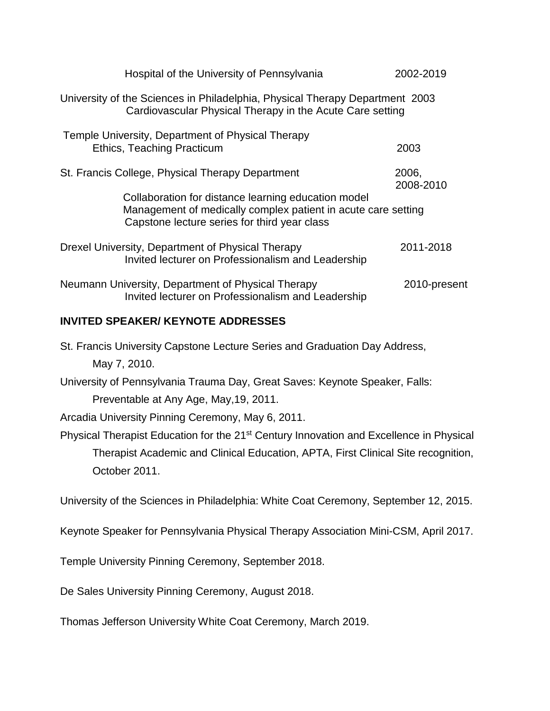| Hospital of the University of Pennsylvania                                                                                                                           | 2002-2019          |
|----------------------------------------------------------------------------------------------------------------------------------------------------------------------|--------------------|
| University of the Sciences in Philadelphia, Physical Therapy Department 2003<br>Cardiovascular Physical Therapy in the Acute Care setting                            |                    |
| Temple University, Department of Physical Therapy<br>Ethics, Teaching Practicum                                                                                      | 2003               |
| St. Francis College, Physical Therapy Department                                                                                                                     | 2006,<br>2008-2010 |
| Collaboration for distance learning education model<br>Management of medically complex patient in acute care setting<br>Capstone lecture series for third year class |                    |
| Drexel University, Department of Physical Therapy<br>Invited lecturer on Professionalism and Leadership                                                              | 2011-2018          |
| Neumann University, Department of Physical Therapy<br>Invited lecturer on Professionalism and Leadership                                                             | 2010-present       |
| INIVITED CDEAIZED/IZEVNOTE ADDDECCEC                                                                                                                                 |                    |

# **INVITED SPEAKER/ KEYNOTE ADDRESSES**

| St. Francis University Capstone Lecture Series and Graduation Day Address,                          |
|-----------------------------------------------------------------------------------------------------|
| May 7, 2010.                                                                                        |
| University of Pennsylvania Trauma Day, Great Saves: Keynote Speaker, Falls:                         |
| Preventable at Any Age, May, 19, 2011.                                                              |
| Arcadia University Pinning Ceremony, May 6, 2011.                                                   |
| Physical Therapist Education for the 21 <sup>st</sup> Century Innovation and Excellence in Physical |
| Therapist Academic and Clinical Education, APTA, First Clinical Site recognition,                   |
| October 2011.                                                                                       |

University of the Sciences in Philadelphia: White Coat Ceremony, September 12, 2015.

Keynote Speaker for Pennsylvania Physical Therapy Association Mini-CSM, April 2017.

Temple University Pinning Ceremony, September 2018.

De Sales University Pinning Ceremony, August 2018.

Thomas Jefferson University White Coat Ceremony, March 2019.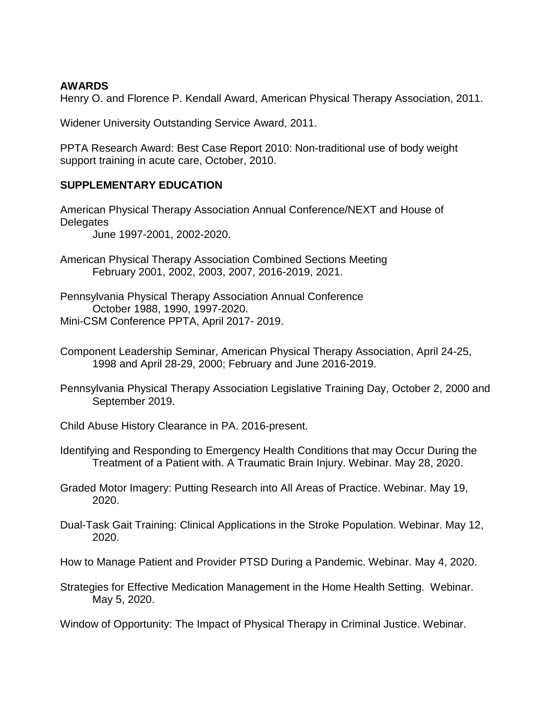### **AWARDS**

Henry O. and Florence P. Kendall Award, American Physical Therapy Association, 2011.

Widener University Outstanding Service Award, 2011.

PPTA Research Award: Best Case Report 2010: Non-traditional use of body weight support training in acute care, October, 2010.

# **SUPPLEMENTARY EDUCATION**

American Physical Therapy Association Annual Conference/NEXT and House of **Delegates** June 1997-2001, 2002-2020.

American Physical Therapy Association Combined Sections Meeting February 2001, 2002, 2003, 2007, 2016-2019, 2021.

Pennsylvania Physical Therapy Association Annual Conference October 1988, 1990, 1997-2020. Mini-CSM Conference PPTA, April 2017- 2019.

- Component Leadership Seminar, American Physical Therapy Association, April 24-25, 1998 and April 28-29, 2000; February and June 2016-2019.
- Pennsylvania Physical Therapy Association Legislative Training Day, October 2, 2000 and September 2019.
- Child Abuse History Clearance in PA. 2016-present.
- Identifying and Responding to Emergency Health Conditions that may Occur During the Treatment of a Patient with. A Traumatic Brain Injury. Webinar. May 28, 2020.
- Graded Motor Imagery: Putting Research into All Areas of Practice. Webinar. May 19, 2020.
- Dual-Task Gait Training: Clinical Applications in the Stroke Population. Webinar. May 12, 2020.

How to Manage Patient and Provider PTSD During a Pandemic. Webinar. May 4, 2020.

Strategies for Effective Medication Management in the Home Health Setting. Webinar. May 5, 2020.

Window of Opportunity: The Impact of Physical Therapy in Criminal Justice. Webinar.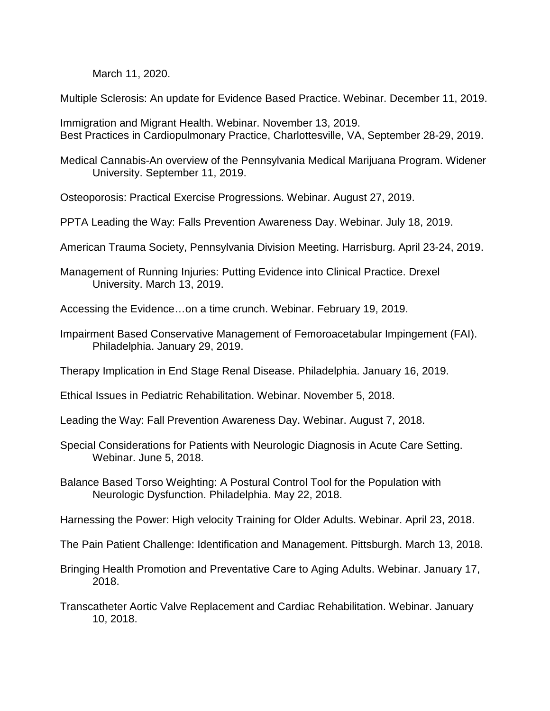March 11, 2020.

Multiple Sclerosis: An update for Evidence Based Practice. Webinar. December 11, 2019.

Immigration and Migrant Health. Webinar. November 13, 2019. Best Practices in Cardiopulmonary Practice, Charlottesville, VA, September 28-29, 2019.

Medical Cannabis-An overview of the Pennsylvania Medical Marijuana Program. Widener University. September 11, 2019.

Osteoporosis: Practical Exercise Progressions. Webinar. August 27, 2019.

PPTA Leading the Way: Falls Prevention Awareness Day. Webinar. July 18, 2019.

American Trauma Society, Pennsylvania Division Meeting. Harrisburg. April 23-24, 2019.

Management of Running Injuries: Putting Evidence into Clinical Practice. Drexel University. March 13, 2019.

Accessing the Evidence…on a time crunch. Webinar. February 19, 2019.

Impairment Based Conservative Management of Femoroacetabular Impingement (FAI). Philadelphia. January 29, 2019.

Therapy Implication in End Stage Renal Disease. Philadelphia. January 16, 2019.

Ethical Issues in Pediatric Rehabilitation. Webinar. November 5, 2018.

Leading the Way: Fall Prevention Awareness Day. Webinar. August 7, 2018.

- Special Considerations for Patients with Neurologic Diagnosis in Acute Care Setting. Webinar. June 5, 2018.
- Balance Based Torso Weighting: A Postural Control Tool for the Population with Neurologic Dysfunction. Philadelphia. May 22, 2018.

Harnessing the Power: High velocity Training for Older Adults. Webinar. April 23, 2018.

The Pain Patient Challenge: Identification and Management. Pittsburgh. March 13, 2018.

- Bringing Health Promotion and Preventative Care to Aging Adults. Webinar. January 17, 2018.
- Transcatheter Aortic Valve Replacement and Cardiac Rehabilitation. Webinar. January 10, 2018.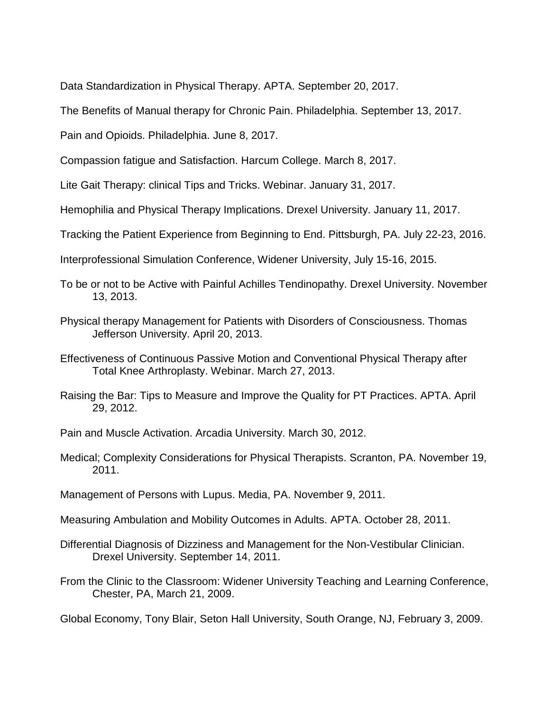Data Standardization in Physical Therapy. APTA. September 20, 2017.

The Benefits of Manual therapy for Chronic Pain. Philadelphia. September 13, 2017.

Pain and Opioids. Philadelphia. June 8, 2017.

Compassion fatigue and Satisfaction. Harcum College. March 8, 2017.

Lite Gait Therapy: clinical Tips and Tricks. Webinar. January 31, 2017.

Hemophilia and Physical Therapy Implications. Drexel University. January 11, 2017.

Tracking the Patient Experience from Beginning to End. Pittsburgh, PA. July 22-23, 2016.

Interprofessional Simulation Conference, Widener University, July 15-16, 2015.

To be or not to be Active with Painful Achilles Tendinopathy. Drexel University. November 13, 2013.

- Physical therapy Management for Patients with Disorders of Consciousness. Thomas Jefferson University. April 20, 2013.
- Effectiveness of Continuous Passive Motion and Conventional Physical Therapy after Total Knee Arthroplasty. Webinar. March 27, 2013.
- Raising the Bar: Tips to Measure and Improve the Quality for PT Practices. APTA. April 29, 2012.

Pain and Muscle Activation. Arcadia University. March 30, 2012.

Medical; Complexity Considerations for Physical Therapists. Scranton, PA. November 19, 2011.

Management of Persons with Lupus. Media, PA. November 9, 2011.

Measuring Ambulation and Mobility Outcomes in Adults. APTA. October 28, 2011.

Differential Diagnosis of Dizziness and Management for the Non-Vestibular Clinician. Drexel University. September 14, 2011.

From the Clinic to the Classroom: Widener University Teaching and Learning Conference, Chester, PA, March 21, 2009.

Global Economy, Tony Blair, Seton Hall University, South Orange, NJ, February 3, 2009.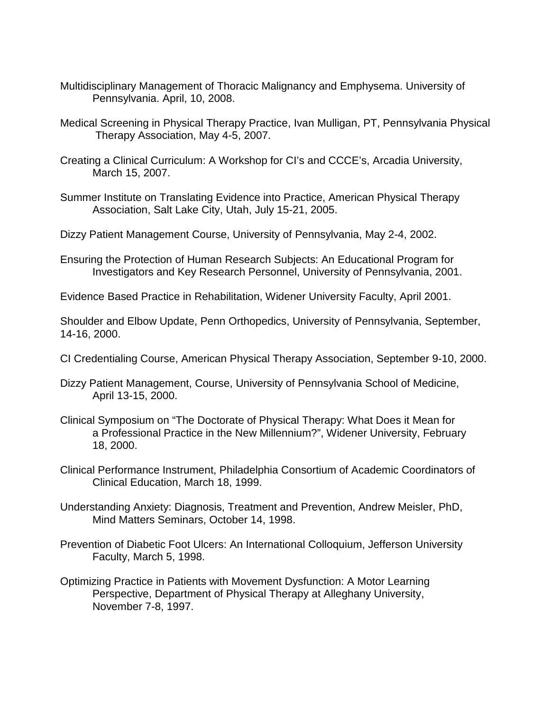- Multidisciplinary Management of Thoracic Malignancy and Emphysema. University of Pennsylvania. April, 10, 2008.
- Medical Screening in Physical Therapy Practice, Ivan Mulligan, PT, Pennsylvania Physical Therapy Association, May 4-5, 2007.
- Creating a Clinical Curriculum: A Workshop for CI's and CCCE's, Arcadia University, March 15, 2007.
- Summer Institute on Translating Evidence into Practice, American Physical Therapy Association, Salt Lake City, Utah, July 15-21, 2005.
- Dizzy Patient Management Course, University of Pennsylvania, May 2-4, 2002.
- Ensuring the Protection of Human Research Subjects: An Educational Program for Investigators and Key Research Personnel, University of Pennsylvania, 2001.
- Evidence Based Practice in Rehabilitation, Widener University Faculty, April 2001.

Shoulder and Elbow Update, Penn Orthopedics, University of Pennsylvania, September, 14-16, 2000.

- CI Credentialing Course, American Physical Therapy Association, September 9-10, 2000.
- Dizzy Patient Management, Course, University of Pennsylvania School of Medicine, April 13-15, 2000.
- Clinical Symposium on "The Doctorate of Physical Therapy: What Does it Mean for a Professional Practice in the New Millennium?", Widener University, February 18, 2000.
- Clinical Performance Instrument, Philadelphia Consortium of Academic Coordinators of Clinical Education, March 18, 1999.
- Understanding Anxiety: Diagnosis, Treatment and Prevention, Andrew Meisler, PhD, Mind Matters Seminars, October 14, 1998.
- Prevention of Diabetic Foot Ulcers: An International Colloquium, Jefferson University Faculty, March 5, 1998.
- Optimizing Practice in Patients with Movement Dysfunction: A Motor Learning Perspective, Department of Physical Therapy at Alleghany University, November 7-8, 1997.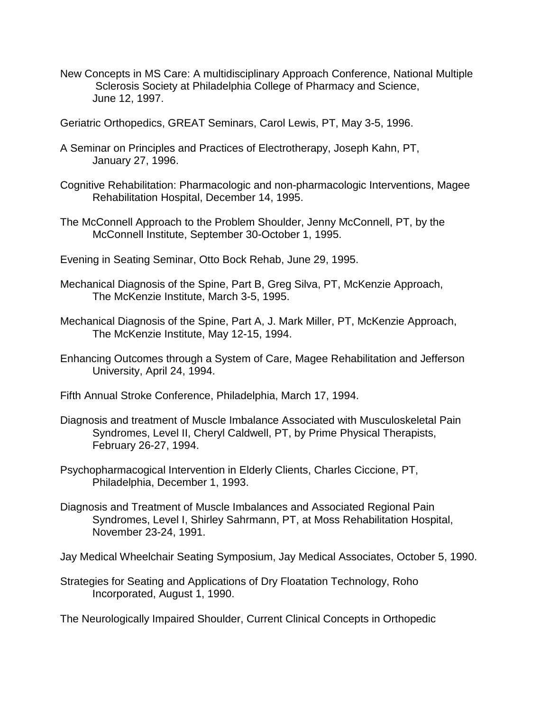- New Concepts in MS Care: A multidisciplinary Approach Conference, National Multiple Sclerosis Society at Philadelphia College of Pharmacy and Science, June 12, 1997.
- Geriatric Orthopedics, GREAT Seminars, Carol Lewis, PT, May 3-5, 1996.
- A Seminar on Principles and Practices of Electrotherapy, Joseph Kahn, PT, January 27, 1996.
- Cognitive Rehabilitation: Pharmacologic and non-pharmacologic Interventions, Magee Rehabilitation Hospital, December 14, 1995.
- The McConnell Approach to the Problem Shoulder, Jenny McConnell, PT, by the McConnell Institute, September 30-October 1, 1995.
- Evening in Seating Seminar, Otto Bock Rehab, June 29, 1995.
- Mechanical Diagnosis of the Spine, Part B, Greg Silva, PT, McKenzie Approach, The McKenzie Institute, March 3-5, 1995.
- Mechanical Diagnosis of the Spine, Part A, J. Mark Miller, PT, McKenzie Approach, The McKenzie Institute, May 12-15, 1994.
- Enhancing Outcomes through a System of Care, Magee Rehabilitation and Jefferson University, April 24, 1994.
- Fifth Annual Stroke Conference, Philadelphia, March 17, 1994.
- Diagnosis and treatment of Muscle Imbalance Associated with Musculoskeletal Pain Syndromes, Level II, Cheryl Caldwell, PT, by Prime Physical Therapists, February 26-27, 1994.
- Psychopharmacogical Intervention in Elderly Clients, Charles Ciccione, PT, Philadelphia, December 1, 1993.
- Diagnosis and Treatment of Muscle Imbalances and Associated Regional Pain Syndromes, Level I, Shirley Sahrmann, PT, at Moss Rehabilitation Hospital, November 23-24, 1991.

Jay Medical Wheelchair Seating Symposium, Jay Medical Associates, October 5, 1990.

Strategies for Seating and Applications of Dry Floatation Technology, Roho Incorporated, August 1, 1990.

The Neurologically Impaired Shoulder, Current Clinical Concepts in Orthopedic